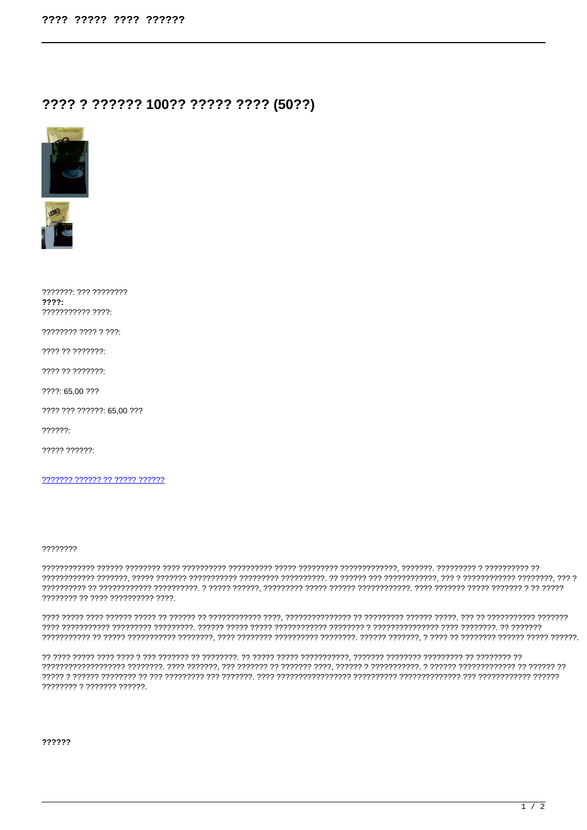## ???? ? ?????? 100?? ????? ???? (50??)





| 7777777: 777 77777777<br>777?  |
|--------------------------------|
| ,,,,,,,,,,,,,,,,,              |
| 77777777 7777 7777             |
| 7777 77 7777777                |
| 7777 77 7777777                |
| ???? 65,00 ???                 |
| ???? ??? ??????: 65,00 ???     |
| 77777?                         |
| 77777 777777                   |
|                                |
| ??????? ?????? ?? ????? ?????? |

## ????????

7777777 77 7777 7777777777 7777.

??????